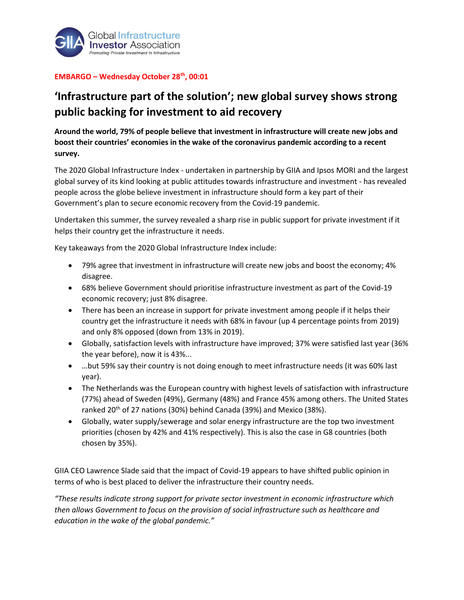

## **EMBARGO – Wednesday October 28th, 00:01**

## **'Infrastructure part of the solution'; new global survey shows strong public backing for investment to aid recovery**

**Around the world, 79% of people believe that investment in infrastructure will create new jobs and boost their countries' economies in the wake of the coronavirus pandemic according to a recent survey.** 

The 2020 Global Infrastructure Index - undertaken in partnership by GIIA and Ipsos MORI and the largest global survey of its kind looking at public attitudes towards infrastructure and investment - has revealed people across the globe believe investment in infrastructure should form a key part of their Government's plan to secure economic recovery from the Covid-19 pandemic.

Undertaken this summer, the survey revealed a sharp rise in public support for private investment if it helps their country get the infrastructure it needs.

Key takeaways from the 2020 Global Infrastructure Index include:

- 79% agree that investment in infrastructure will create new jobs and boost the economy; 4% disagree.
- 68% believe Government should prioritise infrastructure investment as part of the Covid-19 economic recovery; just 8% disagree.
- There has been an increase in support for private investment among people if it helps their country get the infrastructure it needs with 68% in favour (up 4 percentage points from 2019) and only 8% opposed (down from 13% in 2019).
- Globally, satisfaction levels with infrastructure have improved; 37% were satisfied last year (36% the year before), now it is 43%...
- …but 59% say their country is not doing enough to meet infrastructure needs (it was 60% last year).
- The Netherlands was the European country with highest levels of satisfaction with infrastructure (77%) ahead of Sweden (49%), Germany (48%) and France 45% among others. The United States ranked 20<sup>th</sup> of 27 nations (30%) behind Canada (39%) and Mexico (38%).
- Globally, water supply/sewerage and solar energy infrastructure are the top two investment priorities (chosen by 42% and 41% respectively). This is also the case in G8 countries (both chosen by 35%).

GIIA CEO Lawrence Slade said that the impact of Covid-19 appears to have shifted public opinion in terms of who is best placed to deliver the infrastructure their country needs.

*"These results indicate strong support for private sector investment in economic infrastructure which then allows Government to focus on the provision of social infrastructure such as healthcare and education in the wake of the global pandemic."*